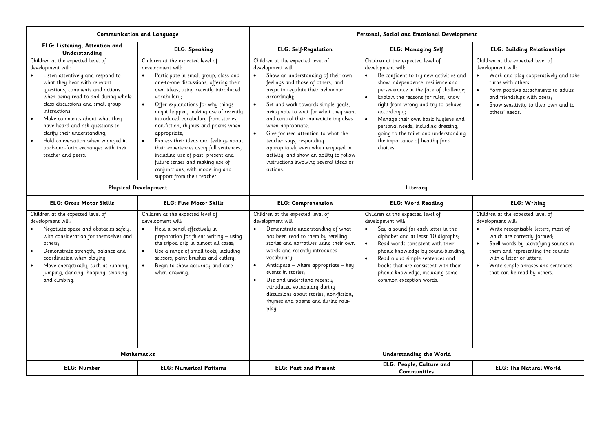| Communication and Language                                                                                                                                                                                                                                                                                                                                                                                                                                                     |                                                                                                                                                                                                                                                                                                                                                                                                                                                                                                                                                                                                                                       | Personal, Social and Emotional Development                                                                                                                                                                                                                                                                                                                                                                                                                                                                                                                                          |                                                                                                                                                                                                                                                                                                                                                                                                                                                                                         |                                                                                                                                                                                                                                                                                                                                                   |  |
|--------------------------------------------------------------------------------------------------------------------------------------------------------------------------------------------------------------------------------------------------------------------------------------------------------------------------------------------------------------------------------------------------------------------------------------------------------------------------------|---------------------------------------------------------------------------------------------------------------------------------------------------------------------------------------------------------------------------------------------------------------------------------------------------------------------------------------------------------------------------------------------------------------------------------------------------------------------------------------------------------------------------------------------------------------------------------------------------------------------------------------|-------------------------------------------------------------------------------------------------------------------------------------------------------------------------------------------------------------------------------------------------------------------------------------------------------------------------------------------------------------------------------------------------------------------------------------------------------------------------------------------------------------------------------------------------------------------------------------|-----------------------------------------------------------------------------------------------------------------------------------------------------------------------------------------------------------------------------------------------------------------------------------------------------------------------------------------------------------------------------------------------------------------------------------------------------------------------------------------|---------------------------------------------------------------------------------------------------------------------------------------------------------------------------------------------------------------------------------------------------------------------------------------------------------------------------------------------------|--|
| ELG: Listening, Attention and<br>Understanding                                                                                                                                                                                                                                                                                                                                                                                                                                 | <b>ELG: Speaking</b>                                                                                                                                                                                                                                                                                                                                                                                                                                                                                                                                                                                                                  | <b>ELG: Self-Regulation</b>                                                                                                                                                                                                                                                                                                                                                                                                                                                                                                                                                         | <b>ELG: Managing Self</b>                                                                                                                                                                                                                                                                                                                                                                                                                                                               | <b>ELG: Building Relationships</b>                                                                                                                                                                                                                                                                                                                |  |
| Children at the expected level of<br>development will:<br>Listen attentively and respond to<br>what they hear with relevant<br>questions, comments and actions<br>when being read to and during whole<br>class discussions and small group<br>interactions;<br>Make comments about what they<br>have heard and ask questions to<br>clarify their understanding;<br>Hold conversation when engaged in<br>$\bullet$<br>back-and-forth exchanges with their<br>teacher and peers. | Children at the expected level of<br>development will:<br>Participate in small group, class and<br>$\bullet$<br>one-to-one discussions, offering their<br>own ideas, using recently introduced<br>vocabulary;<br>Offer explanations for why things<br>$\bullet$<br>might happen, making use of recently<br>introduced vocabulary from stories,<br>non-fiction, rhymes and poems when<br>appropriate;<br>Express their ideas and feelings about<br>their experiences using full sentences,<br>including use of past, present and<br>future tenses and making use of<br>conjunctions, with modelling and<br>support from their teacher. | Children at the expected level of<br>development will:<br>Show an understanding of their own<br>$\bullet$<br>feelings and those of others, and<br>begin to regulate their behaviour<br>accordingly;<br>Set and work towards simple goals,<br>$\bullet$<br>being able to wait for what they want<br>and control their immediate impulses<br>when appropriate;<br>Give focused attention to what the<br>$\bullet$<br>teacher says, responding<br>appropriately even when engaged in<br>activity, and show an ability to follow<br>instructions involving several ideas or<br>actions. | Children at the expected level of<br>development will:<br>Be confident to try new activities and<br>$\bullet$<br>show independence, resilience and<br>perseverance in the face of challenge;<br>Explain the reasons for rules, know<br>$\bullet$<br>right from wrong and try to behave<br>accordingly;<br>Manage their own basic hygiene and<br>$\bullet$<br>personal needs, including dressing,<br>going to the toilet and understanding<br>the importance of healthy food<br>choices. | Children at the expected level of<br>development will:<br>Work and play cooperatively and take<br>$\bullet$<br>turns with others;<br>Form positive attachments to adults<br>$\bullet$<br>and friendships with peers;<br>Show sensitivity to their own and to<br>$\bullet$<br>others' needs.                                                       |  |
| <b>Physical Development</b>                                                                                                                                                                                                                                                                                                                                                                                                                                                    |                                                                                                                                                                                                                                                                                                                                                                                                                                                                                                                                                                                                                                       | Literacy                                                                                                                                                                                                                                                                                                                                                                                                                                                                                                                                                                            |                                                                                                                                                                                                                                                                                                                                                                                                                                                                                         |                                                                                                                                                                                                                                                                                                                                                   |  |
| <b>ELG: Gross Motor Skills</b>                                                                                                                                                                                                                                                                                                                                                                                                                                                 | <b>ELG: Fine Motor Skills</b>                                                                                                                                                                                                                                                                                                                                                                                                                                                                                                                                                                                                         | <b>ELG: Comprehension</b>                                                                                                                                                                                                                                                                                                                                                                                                                                                                                                                                                           | <b>ELG: Word Reading</b>                                                                                                                                                                                                                                                                                                                                                                                                                                                                | <b>ELG: Writing</b>                                                                                                                                                                                                                                                                                                                               |  |
| Children at the expected level of<br>development will:<br>Negotiate space and obstacles safely,<br>with consideration for themselves and<br>others;<br>Demonstrate strength, balance and<br>coordination when playing;<br>Move energetically, such as running,<br>$\bullet$<br>jumping, dancing, hopping, skipping<br>and climbing.                                                                                                                                            | Children at the expected level of<br>development will:<br>Hold a pencil effectively in<br>$\bullet$<br>preparation for fluent writing - using<br>the tripod grip in almost all cases;<br>Use a range of small tools, including<br>$\bullet$<br>scissors, paint brushes and cutlery;<br>Begin to show accuracy and care<br>when drawing.                                                                                                                                                                                                                                                                                               | Children at the expected level of<br>development will:<br>Demonstrate understanding of what<br>$\bullet$<br>has been read to them by retelling<br>stories and narratives using their own<br>words and recently introduced<br>vocabulary;<br>Anticipate - where appropriate - key<br>$\bullet$<br>events in stories;<br>Use and understand recently<br>$\bullet$<br>introduced vocabulary during<br>discussions about stories, non-fiction,<br>rhymes and poems and during role-<br>play.                                                                                            | Children at the expected level of<br>development will:<br>Say a sound for each letter in the<br>$\bullet$<br>alphabet and at least 10 digraphs;<br>Read words consistent with their<br>$\bullet$<br>phonic knowledge by sound-blending;<br>Read aloud simple sentences and<br>books that are consistent with their<br>phonic knowledge, including some<br>common exception words.                                                                                                       | Children at the expected level of<br>development will:<br>Write recognisable letters, most of<br>$\bullet$<br>which are correctly formed;<br>$\bullet$<br>Spell words by identifying sounds in<br>them and representing the sounds<br>with a letter or letters;<br>Write simple phrases and sentences<br>$\bullet$<br>that can be read by others. |  |
|                                                                                                                                                                                                                                                                                                                                                                                                                                                                                | <b>Mathematics</b>                                                                                                                                                                                                                                                                                                                                                                                                                                                                                                                                                                                                                    |                                                                                                                                                                                                                                                                                                                                                                                                                                                                                                                                                                                     | <b>Understanding the World</b>                                                                                                                                                                                                                                                                                                                                                                                                                                                          |                                                                                                                                                                                                                                                                                                                                                   |  |
| <b>ELG: Number</b>                                                                                                                                                                                                                                                                                                                                                                                                                                                             | <b>ELG: Numerical Patterns</b>                                                                                                                                                                                                                                                                                                                                                                                                                                                                                                                                                                                                        | <b>ELG: Past and Present</b>                                                                                                                                                                                                                                                                                                                                                                                                                                                                                                                                                        | ELG: People, Culture and<br><b>Communities</b>                                                                                                                                                                                                                                                                                                                                                                                                                                          | <b>ELG: The Natural World</b>                                                                                                                                                                                                                                                                                                                     |  |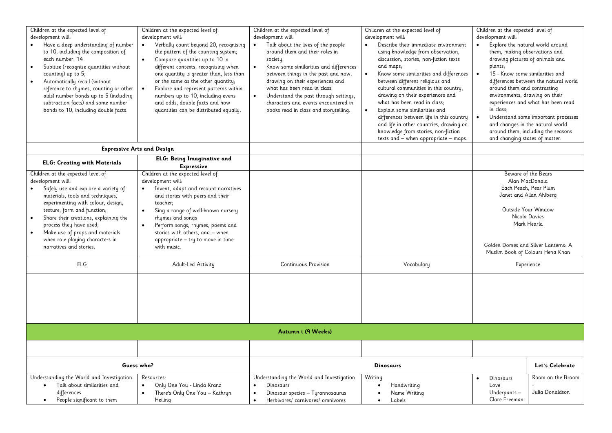| Children at the expected level of<br>development will:<br>Have a deep understanding of number<br>to 10, including the composition of<br>each number; 14<br>Subitise (recognise quantities without<br>counting) up to $5$ ;<br>Automatically recall (without<br>$\bullet$<br>reference to rhymes, counting or other<br>aids) number bonds up to 5 (including<br>subtraction facts) and some number<br>bonds to 10, including double facts. | Children at the expected level of<br>development will:<br>Verbally count beyond 20, recognising<br>the pattern of the counting system;<br>Compare quantities up to 10 in<br>$\bullet$<br>different contexts, recognising when<br>one quantity is greater than, less than<br>or the same as the other quantity;<br>Explore and represent patterns within<br>numbers up to 10, including evens<br>and odds, double facts and how<br>quantities can be distributed equally. | Children at the expected level of<br>development will:<br>Talk about the lives of the people<br>$\bullet$<br>around them and their roles in<br>society;<br>Know some similarities and differences<br>$\bullet$<br>between things in the past and now,<br>drawing on their experiences and<br>what has been read in class;<br>$\bullet$<br>Understand the past through settings,<br>characters and events encountered in<br>books read in class and storytelling. | Children at the expected level of<br>development will:<br>Describe their immediate environment<br>using knowledge from observation,<br>discussion, stories, non-fiction texts<br>and maps;<br>Know some similarities and differences<br>$\bullet$<br>between different religious and<br>cultural communities in this country,<br>drawing on their experiences and<br>what has been read in class;<br>Explain some similarities and<br>differences between life in this country<br>and life in other countries, drawing on<br>knowledge from stories, non-fiction<br>texts and - when appropriate - maps. | Children at the expected level of<br>development will:<br>Explore the natural world around<br>them, making observations and<br>drawing pictures of animals and<br>plants;<br>15 - Know some similarities and<br>differences between the natural world<br>around them and contrasting<br>environments, drawing on their<br>experiences and what has been read<br>in class;<br>Understand some important processes<br>and changes in the natural world<br>around them, including the seasons<br>and changing states of matter. |
|-------------------------------------------------------------------------------------------------------------------------------------------------------------------------------------------------------------------------------------------------------------------------------------------------------------------------------------------------------------------------------------------------------------------------------------------|--------------------------------------------------------------------------------------------------------------------------------------------------------------------------------------------------------------------------------------------------------------------------------------------------------------------------------------------------------------------------------------------------------------------------------------------------------------------------|------------------------------------------------------------------------------------------------------------------------------------------------------------------------------------------------------------------------------------------------------------------------------------------------------------------------------------------------------------------------------------------------------------------------------------------------------------------|----------------------------------------------------------------------------------------------------------------------------------------------------------------------------------------------------------------------------------------------------------------------------------------------------------------------------------------------------------------------------------------------------------------------------------------------------------------------------------------------------------------------------------------------------------------------------------------------------------|------------------------------------------------------------------------------------------------------------------------------------------------------------------------------------------------------------------------------------------------------------------------------------------------------------------------------------------------------------------------------------------------------------------------------------------------------------------------------------------------------------------------------|
|                                                                                                                                                                                                                                                                                                                                                                                                                                           | <b>Expressive Arts and Design</b>                                                                                                                                                                                                                                                                                                                                                                                                                                        |                                                                                                                                                                                                                                                                                                                                                                                                                                                                  |                                                                                                                                                                                                                                                                                                                                                                                                                                                                                                                                                                                                          |                                                                                                                                                                                                                                                                                                                                                                                                                                                                                                                              |
| <b>ELG: Creating with Materials</b>                                                                                                                                                                                                                                                                                                                                                                                                       | <b>ELG: Being Imaginative and</b><br><b>Expressive</b>                                                                                                                                                                                                                                                                                                                                                                                                                   |                                                                                                                                                                                                                                                                                                                                                                                                                                                                  |                                                                                                                                                                                                                                                                                                                                                                                                                                                                                                                                                                                                          |                                                                                                                                                                                                                                                                                                                                                                                                                                                                                                                              |
| Children at the expected level of<br>development will:<br>Safely use and explore a variety of<br>materials, tools and techniques,<br>experimenting with colour, design,<br>texture, form and function;<br>Share their creations, explaining the<br>$\bullet$<br>process they have used;<br>Make use of props and materials<br>when role playing characters in<br>narratives and stories.<br>ELG                                           | Children at the expected level of<br>development will:<br>Invent, adapt and recount narratives<br>and stories with peers and their<br>teacher:<br>Sing a range of well-known nursery<br>$\bullet$<br>rhymes and songs<br>Perform songs, rhymes, poems and<br>$\bullet$<br>stories with others, and - when<br>appropriate - try to move in time<br>with music.<br>Adult-Led Activity                                                                                      | <b>Continuous Provision</b>                                                                                                                                                                                                                                                                                                                                                                                                                                      | Vocabulary                                                                                                                                                                                                                                                                                                                                                                                                                                                                                                                                                                                               | Beware of the Bears<br>Alan MacDonald<br>Each Peach, Pear Plum<br>Janet and Allan Ahlberg<br>Outside Your Window<br>Nicola Davies<br>Mark Hearld<br>Golden Domes and Silver Lanterns: A<br>Muslim Book of Colours Hena Khan<br>Experience                                                                                                                                                                                                                                                                                    |
|                                                                                                                                                                                                                                                                                                                                                                                                                                           |                                                                                                                                                                                                                                                                                                                                                                                                                                                                          |                                                                                                                                                                                                                                                                                                                                                                                                                                                                  |                                                                                                                                                                                                                                                                                                                                                                                                                                                                                                                                                                                                          |                                                                                                                                                                                                                                                                                                                                                                                                                                                                                                                              |
|                                                                                                                                                                                                                                                                                                                                                                                                                                           |                                                                                                                                                                                                                                                                                                                                                                                                                                                                          | Autumn i (9 Weeks)                                                                                                                                                                                                                                                                                                                                                                                                                                               |                                                                                                                                                                                                                                                                                                                                                                                                                                                                                                                                                                                                          |                                                                                                                                                                                                                                                                                                                                                                                                                                                                                                                              |
|                                                                                                                                                                                                                                                                                                                                                                                                                                           |                                                                                                                                                                                                                                                                                                                                                                                                                                                                          |                                                                                                                                                                                                                                                                                                                                                                                                                                                                  |                                                                                                                                                                                                                                                                                                                                                                                                                                                                                                                                                                                                          |                                                                                                                                                                                                                                                                                                                                                                                                                                                                                                                              |
| Guess who?                                                                                                                                                                                                                                                                                                                                                                                                                                |                                                                                                                                                                                                                                                                                                                                                                                                                                                                          |                                                                                                                                                                                                                                                                                                                                                                                                                                                                  | <b>Dinosaurs</b>                                                                                                                                                                                                                                                                                                                                                                                                                                                                                                                                                                                         | Let's Celebrate                                                                                                                                                                                                                                                                                                                                                                                                                                                                                                              |
| Understanding the World and Investigation<br>Talk about similarities and<br>differences<br>People significant to them<br>$\bullet$                                                                                                                                                                                                                                                                                                        | Resources:<br>Only One You - Linda Kranz<br>$\bullet$<br>There's Only One You - Kathryn<br>Heiling                                                                                                                                                                                                                                                                                                                                                                       | Understanding the World and Investigation<br>Dinosaurs<br>$\bullet$<br>Dinosaur species - Tyrannosaurus<br>$\bullet$<br>Herbivores/ carnivores/ omnivores<br>$\bullet$                                                                                                                                                                                                                                                                                           | Writing<br>Handwriting<br>$\bullet$<br>Name Writing<br>Labels                                                                                                                                                                                                                                                                                                                                                                                                                                                                                                                                            | Room on the Broom<br>Dinosaurs<br>Love<br>Julia Donaldson<br>Underpants-<br>Clare Freeman                                                                                                                                                                                                                                                                                                                                                                                                                                    |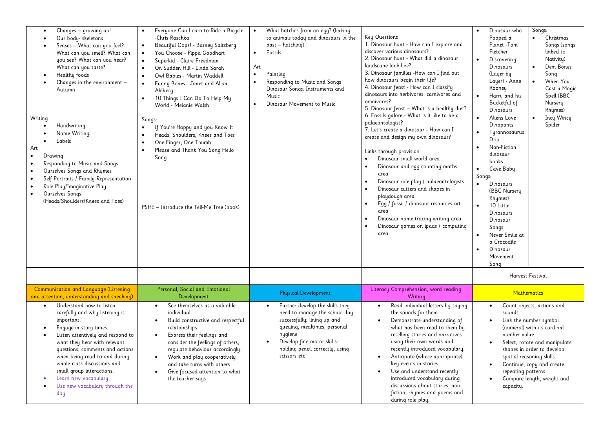| Changes - growing up!<br>$\bullet$<br>Our body- skeletons<br>Senses - What can you feel?<br>What can you smell? What can<br>you see? What can you hear?<br>What can you taste?<br>Healthy foods<br>Changes in the environment -<br>Autumn<br>Writing<br>Handwriting<br>Name Writing<br>Labels<br>Art<br>Drawing<br>Responding to Music and Songs<br>Ourselves Songs and Rhymes<br>Self Portraits / Family Representation<br>Role Play/Imaginative Play<br>Ourselves Songs<br>$\bullet$<br>(Heads/Shoulders/Knees and Toes) | Everyone Can Learn to Ride a Bicycle<br>$\bullet$<br>-Chris Raschka<br>Beautiful Oops! - Barney Saltzberg<br>$\bullet$<br>You Choose - Pippa Goodhart<br>$\bullet$<br>Superkid - Claire Freedman<br>On Sudden Hill - Linda Sarah<br>Owl Babies - Martin Waddell<br>$\bullet$<br>Funny Bones - Janet and Allan<br>$\bullet$<br>Ahlberg<br>10 Things I Can Do To Help My<br>$\bullet$<br>World - Melanie Walsh<br>Songs:<br>If You're Happy and you Know It<br>$\bullet$<br>Heads, Shoulders, Knees and Toes<br>One Finger, One Thumb<br>$\bullet$<br>Please and Thank You Song Hello<br>Song<br>PSHE - Introduce the Tell-Me Tree (book) | What hatches from an egg? (linking<br>$\bullet$<br>to animals today and dinosaurs in the<br>past - hatching)<br>Fossils<br>$\bullet$<br>Art<br>$\bullet$<br>Painting<br>Responding to Music and Songs<br>$\bullet$<br>Dinosaur Songs: Instruments and<br>Music<br>Dinosaur Movement to Music | Key Questions<br>1. Dinosaur hunt - How can I explore and<br>discover various dinosaurs?<br>2. Dinosaur hunt - What did a dinosaur<br>landscape look like?<br>3. Dinosaur families -How can I find out<br>how dinosaurs begin their life?<br>4. Dinosaur feast - How can I classify<br>dinosaurs into herbivores, carnivores and<br>omnivores?<br>5. Dinosaur feast - What is a healthy diet?<br>6. Fossils galore - What is it like to be a<br>palaeontologist?<br>7. Let's create a dinosaur - How can I<br>create and design my own dinosaur?<br>Links through provision<br>Dinosaur small world area<br>Dinosaur and egg counting maths<br>$\bullet$<br>area<br>Dinosaur role play / palaeontologists<br>$\bullet$<br>Dinosaur cutters and shapes in<br>$\bullet$<br>playdough area<br>Egg / fossil / dinosaur resources art<br>$\bullet$<br>area<br>Dinosaur name tracing writing area<br>$\bullet$<br>Dinosaur games on ipads / computing<br>area | Dinosaur who<br>Songs:<br>$\bullet$<br>Christmas<br>Pooped a<br>$\bullet$<br>Songs (songs<br>Planet -Tom<br>linked to<br>Fletcher<br>Nativity)<br>Discovering<br>$\bullet$<br>Dem Bones<br>Dinosaurs<br>$\bullet$<br>(Layer by<br>Song<br>Layer) - Anne<br>When You<br>$\bullet$<br>Rooney<br>Cast a Magic<br>Spell (BBC<br>Harry and his<br>Bucketful of<br>Nursery<br>Dinosaurs<br>Rhymes)<br>Aliens Love<br>Incy Wincy<br>$\bullet$<br>$\bullet$<br>Spider<br>Dinopants<br>Tyrannosaurus<br>Drip<br>Non-Fiction<br>$\bullet$<br>dinosaur<br>books<br>Cave Baby<br>$\bullet$<br>Songs:<br>$\bullet$<br>Dinosaurs<br>(BBC Nursery<br>Rhymes)<br>10 Little<br>$\bullet$<br>Dinosaurs<br>Dinosaur<br>Songs<br>Never Smile at<br>$\bullet$<br>a Crocodile<br>Dinosaur<br>$\bullet$<br>Movement<br>Song |
|----------------------------------------------------------------------------------------------------------------------------------------------------------------------------------------------------------------------------------------------------------------------------------------------------------------------------------------------------------------------------------------------------------------------------------------------------------------------------------------------------------------------------|-----------------------------------------------------------------------------------------------------------------------------------------------------------------------------------------------------------------------------------------------------------------------------------------------------------------------------------------------------------------------------------------------------------------------------------------------------------------------------------------------------------------------------------------------------------------------------------------------------------------------------------------|----------------------------------------------------------------------------------------------------------------------------------------------------------------------------------------------------------------------------------------------------------------------------------------------|---------------------------------------------------------------------------------------------------------------------------------------------------------------------------------------------------------------------------------------------------------------------------------------------------------------------------------------------------------------------------------------------------------------------------------------------------------------------------------------------------------------------------------------------------------------------------------------------------------------------------------------------------------------------------------------------------------------------------------------------------------------------------------------------------------------------------------------------------------------------------------------------------------------------------------------------------------|------------------------------------------------------------------------------------------------------------------------------------------------------------------------------------------------------------------------------------------------------------------------------------------------------------------------------------------------------------------------------------------------------------------------------------------------------------------------------------------------------------------------------------------------------------------------------------------------------------------------------------------------------------------------------------------------------------------------------------------------------------------------------------------------------|
|                                                                                                                                                                                                                                                                                                                                                                                                                                                                                                                            |                                                                                                                                                                                                                                                                                                                                                                                                                                                                                                                                                                                                                                         |                                                                                                                                                                                                                                                                                              |                                                                                                                                                                                                                                                                                                                                                                                                                                                                                                                                                                                                                                                                                                                                                                                                                                                                                                                                                         | Harvest Festival                                                                                                                                                                                                                                                                                                                                                                                                                                                                                                                                                                                                                                                                                                                                                                                     |
| Communication and Language (Listening<br>and attention, understanding and speaking)                                                                                                                                                                                                                                                                                                                                                                                                                                        | Personal, Social and Emotional<br>Development                                                                                                                                                                                                                                                                                                                                                                                                                                                                                                                                                                                           | <b>Physical Development</b>                                                                                                                                                                                                                                                                  | Literacy Comprehension, word reading,<br>Writing                                                                                                                                                                                                                                                                                                                                                                                                                                                                                                                                                                                                                                                                                                                                                                                                                                                                                                        | <b>Mathematics</b>                                                                                                                                                                                                                                                                                                                                                                                                                                                                                                                                                                                                                                                                                                                                                                                   |
| Understand how to listen<br>$\bullet$<br>carefully and why listening is<br>important.<br>Engage in story times.<br>Listen attentively and respond to<br>what they hear with relevant<br>questions, comments and actions<br>when being read to and during<br>whole class discussions and<br>small group interactions.<br>Learn new vocabulary<br>Use new vocabulary through the<br>day                                                                                                                                      | See themselves as a valuable<br>$\bullet$<br>individual.<br>Build constructive and respectful<br>$\bullet$<br>relationships.<br>Express their feelings and<br>$\bullet$<br>consider the feelings of others,<br>regulate behaviour accordingly.<br>Work and play cooperatively<br>and take turns with others<br>Give focused attention to what<br>$\bullet$<br>the teacher says                                                                                                                                                                                                                                                          | Further develop the skills they<br>$\bullet$<br>need to manage the school day<br>successfully: lining up and<br>queuing, mealtimes, personal<br>hygiene<br>Develop fine motor skills-<br>holding pencil correctly, using<br>scissors etc                                                     | Read individual letters by saying<br>$\bullet$<br>the sounds for them.<br>Demonstrate understanding of<br>$\bullet$<br>what has been read to them by<br>retelling stories and narratives<br>using their own words and<br>recently introduced vocabulary.<br>Anticipate (where appropriate)<br>key events in stories.<br>Use and understand recently<br>introduced vocabulary during<br>discussions about stories, non-<br>fiction, rhymes and poems and<br>during role play.                                                                                                                                                                                                                                                                                                                                                                                                                                                                            | Count objects, actions and<br>$\bullet$<br>sounds.<br>Link the number symbol<br>(numeral) with its cardinal<br>number value.<br>Select, rotate and manipulate<br>$\bullet$<br>shapes in order to develop<br>spatial reasoning skills.<br>Continue, copy and create<br>repeating patterns.<br>Compare length, weight and<br>capacity.                                                                                                                                                                                                                                                                                                                                                                                                                                                                 |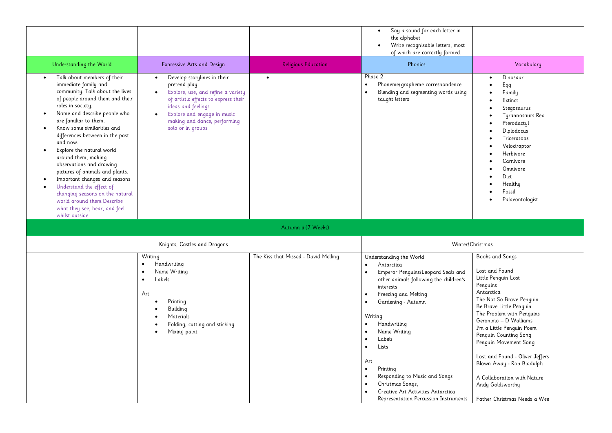|                                                                                                                                                                                                                                                                                                                                                                                                                                                                                                                                                                                                                                               |                                                                                                                                                                                                                                                                |                                      | Say a sound for each letter in<br>$\bullet$<br>the alphabet<br>Write recognisable letters, most<br>of which are correctly formed.                                                                                                                                                                                                                                                                                                                                                                                                                                |                                                                                                                                                                                                                                                                                                                                                                                                                                          |
|-----------------------------------------------------------------------------------------------------------------------------------------------------------------------------------------------------------------------------------------------------------------------------------------------------------------------------------------------------------------------------------------------------------------------------------------------------------------------------------------------------------------------------------------------------------------------------------------------------------------------------------------------|----------------------------------------------------------------------------------------------------------------------------------------------------------------------------------------------------------------------------------------------------------------|--------------------------------------|------------------------------------------------------------------------------------------------------------------------------------------------------------------------------------------------------------------------------------------------------------------------------------------------------------------------------------------------------------------------------------------------------------------------------------------------------------------------------------------------------------------------------------------------------------------|------------------------------------------------------------------------------------------------------------------------------------------------------------------------------------------------------------------------------------------------------------------------------------------------------------------------------------------------------------------------------------------------------------------------------------------|
| Understanding the World                                                                                                                                                                                                                                                                                                                                                                                                                                                                                                                                                                                                                       | <b>Expressive Arts and Design</b>                                                                                                                                                                                                                              | <b>Religious Education</b>           | Phonics                                                                                                                                                                                                                                                                                                                                                                                                                                                                                                                                                          | Vocabulary                                                                                                                                                                                                                                                                                                                                                                                                                               |
| Talk about members of their<br>immediate family and<br>community. Talk about the lives<br>of people around them and their<br>roles in society.<br>Name and describe people who<br>$\bullet$<br>are familiar to them.<br>Know some similarities and<br>$\bullet$<br>differences between in the past<br>and now.<br>Explore the natural world<br>around them, making<br>observations and drawing<br>pictures of animals and plants.<br>Important changes and seasons<br>$\bullet$<br>Understand the effect of<br>$\bullet$<br>changing seasons on the natural<br>world around them Describe<br>what they see, hear, and feel<br>whilst outside. | Develop storylines in their<br>$\bullet$<br>pretend play.<br>Explore, use, and refine a variety<br>of artistic effects to express their<br>ideas and feelings<br>Explore and engage in music<br>$\bullet$<br>making and dance, performing<br>solo or in groups | $\bullet$                            | Phase 2<br>Phoneme/grapheme correspondence<br>$\bullet$<br>Blending and segmenting words using<br>$\bullet$<br>taught letters                                                                                                                                                                                                                                                                                                                                                                                                                                    | Dinosaur<br>Egg<br>Family<br>Extinct<br>Stegosaurus<br><b>Tyrannosaurs Rex</b><br>Pterodactyl<br>Diplodocus<br>Triceratops<br>Velociraptor<br>Herbivore<br>Carnivore<br>Omnivore<br>Diet<br>Healthy<br>Fossil<br>Palaeontologist                                                                                                                                                                                                         |
|                                                                                                                                                                                                                                                                                                                                                                                                                                                                                                                                                                                                                                               |                                                                                                                                                                                                                                                                | Autumn ii (7 Weeks)                  |                                                                                                                                                                                                                                                                                                                                                                                                                                                                                                                                                                  |                                                                                                                                                                                                                                                                                                                                                                                                                                          |
|                                                                                                                                                                                                                                                                                                                                                                                                                                                                                                                                                                                                                                               | Knights, Castles and Dragons                                                                                                                                                                                                                                   |                                      |                                                                                                                                                                                                                                                                                                                                                                                                                                                                                                                                                                  | Winter/Christmas                                                                                                                                                                                                                                                                                                                                                                                                                         |
|                                                                                                                                                                                                                                                                                                                                                                                                                                                                                                                                                                                                                                               | Writing<br>Handwriting<br>Name Writing<br>Labels<br>Art<br>Printing<br>$\bullet$<br>Building<br>$\bullet$<br>Materials<br>$\bullet$<br>Folding, cutting and sticking<br>$\bullet$<br>Mixing paint<br>$\bullet$                                                 | The Kiss that Missed - David Melling | Understanding the World<br>Antarctica<br>$\bullet$<br>Emperor Penguins/Leopard Seals and<br>$\bullet$<br>other animals following the children's<br>interests<br>Freezing and Melting<br>$\bullet$<br>Gardening - Autumn<br>$\bullet$<br>Writing<br>Handwriting<br>$\bullet$<br>Name Writing<br>$\bullet$<br>Labels<br>$\bullet$<br>Lists<br>$\bullet$<br>Art<br>$\bullet$<br>Printing<br>Responding to Music and Songs<br>$\bullet$<br>Christmas Songs,<br>$\bullet$<br>Creative Art Activities Antarctica<br>$\bullet$<br>Representation Percussion Instruments | <b>Books and Songs</b><br>Lost and Found<br>Little Penguin Lost<br>Penguins<br>Antarctica<br>The Not So Brave Penguin<br>Be Brave Little Penguin<br>The Problem with Penguins<br>Geronimo - D Walliams<br>I'm a Little Penguin Poem<br>Penguin Counting Song<br>Penguin Movement Song<br>Lost and Found - Oliver Jeffers<br>Blown Away - Rob Biddulph<br>A Collaboration with Nature<br>Andy Goldsworthy<br>Father Christmas Needs a Wee |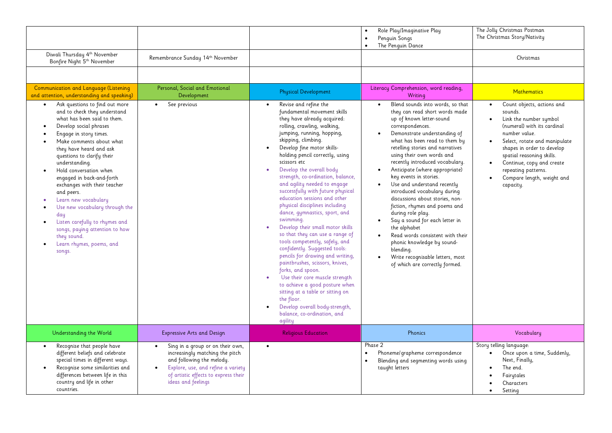|                                                                                                                                                                                                                                                                                                                                                                                                                                                                                                                                                                                                |                                                                                                                                                                                                                   |                                                                                                                                                                                                                                                                                                                                                                                                                                                                                                                                                                                                                                                                                                                                                                                                                                                                                                                                                                                                            | Role Play/Imaginative Play<br>$\bullet$<br>Penguin Songs<br>The Penguin Dance<br>$\bullet$                                                                                                                                                                                                                                                                                                                                                                                                                                                                                                                                                                                                                                                   | The Jolly Christmas Postman<br>The Christmas Story/Nativity                                                                                                                                                                                                                                                                          |
|------------------------------------------------------------------------------------------------------------------------------------------------------------------------------------------------------------------------------------------------------------------------------------------------------------------------------------------------------------------------------------------------------------------------------------------------------------------------------------------------------------------------------------------------------------------------------------------------|-------------------------------------------------------------------------------------------------------------------------------------------------------------------------------------------------------------------|------------------------------------------------------------------------------------------------------------------------------------------------------------------------------------------------------------------------------------------------------------------------------------------------------------------------------------------------------------------------------------------------------------------------------------------------------------------------------------------------------------------------------------------------------------------------------------------------------------------------------------------------------------------------------------------------------------------------------------------------------------------------------------------------------------------------------------------------------------------------------------------------------------------------------------------------------------------------------------------------------------|----------------------------------------------------------------------------------------------------------------------------------------------------------------------------------------------------------------------------------------------------------------------------------------------------------------------------------------------------------------------------------------------------------------------------------------------------------------------------------------------------------------------------------------------------------------------------------------------------------------------------------------------------------------------------------------------------------------------------------------------|--------------------------------------------------------------------------------------------------------------------------------------------------------------------------------------------------------------------------------------------------------------------------------------------------------------------------------------|
| Diwali Thursday 4th November<br>Bonfire Night 5th November                                                                                                                                                                                                                                                                                                                                                                                                                                                                                                                                     | Remembrance Sunday 14th November                                                                                                                                                                                  |                                                                                                                                                                                                                                                                                                                                                                                                                                                                                                                                                                                                                                                                                                                                                                                                                                                                                                                                                                                                            |                                                                                                                                                                                                                                                                                                                                                                                                                                                                                                                                                                                                                                                                                                                                              | Christmas                                                                                                                                                                                                                                                                                                                            |
|                                                                                                                                                                                                                                                                                                                                                                                                                                                                                                                                                                                                |                                                                                                                                                                                                                   |                                                                                                                                                                                                                                                                                                                                                                                                                                                                                                                                                                                                                                                                                                                                                                                                                                                                                                                                                                                                            |                                                                                                                                                                                                                                                                                                                                                                                                                                                                                                                                                                                                                                                                                                                                              |                                                                                                                                                                                                                                                                                                                                      |
| Communication and Language (Listening<br>and attention, understanding and speaking)                                                                                                                                                                                                                                                                                                                                                                                                                                                                                                            | Personal, Social and Emotional<br>Development                                                                                                                                                                     | <b>Physical Development</b>                                                                                                                                                                                                                                                                                                                                                                                                                                                                                                                                                                                                                                                                                                                                                                                                                                                                                                                                                                                | Literacy Comprehension, word reading,<br>Writing                                                                                                                                                                                                                                                                                                                                                                                                                                                                                                                                                                                                                                                                                             | <b>Mathematics</b>                                                                                                                                                                                                                                                                                                                   |
| Ask questions to find out more<br>$\bullet$<br>and to check they understand<br>what has been said to them.<br>Develop social phrases<br>Engage in story times.<br>Make comments about what<br>they have heard and ask<br>questions to clarify their<br>understanding.<br>Hold conversation when<br>$\bullet$<br>engaged in back-and-forth<br>exchanges with their teacher<br>and peers.<br>Learn new vocabulary<br>$\bullet$<br>Use new vocabulary through the<br>day<br>Listen carefully to rhymes and<br>songs, paying attention to how<br>they sound.<br>Learn rhymes, poems, and<br>songs. | See previous<br>$\bullet$                                                                                                                                                                                         | Revise and refine the<br>$\bullet$<br>fundamental movement skills<br>they have already acquired:<br>rolling, crawling, walking,<br>jumping, running, hopping,<br>skipping, climbing.<br>Develop fine motor skills-<br>$\bullet$<br>holding pencil correctly, using<br>scissors etc<br>Develop the overall body<br>$\bullet$<br>strength, co-ordination, balance,<br>and agility needed to engage<br>successfully with future physical<br>education sessions and other<br>physical disciplines including<br>dance, gymnastics, sport, and<br>swimming.<br>Develop their small motor skills<br>so that they can use a range of<br>tools competently, safely, and<br>confidently. Suggested tools:<br>pencils for drawing and writing,<br>paintbrushes, scissors, knives,<br>forks, and spoon.<br>Use their core muscle strength<br>$\bullet$<br>to achieve a good posture when<br>sitting at a table or sitting on<br>the floor.<br>Develop overall body-strength,<br>balance, co-ordination, and<br>agility | Blend sounds into words, so that<br>$\bullet$<br>they can read short words made<br>up of known letter-sound<br>correspondences.<br>Demonstrate understanding of<br>what has been read to them by<br>retelling stories and narratives<br>using their own words and<br>recently introduced vocabulary.<br>Anticipate (where appropriate)<br>$\bullet$<br>key events in stories.<br>Use and understand recently<br>introduced vocabulary during<br>discussions about stories, non-<br>fiction, rhymes and poems and<br>during role play.<br>Say a sound for each letter in<br>the alphabet<br>Read words consistent with their<br>phonic knowledge by sound-<br>blending.<br>Write recognisable letters, most<br>of which are correctly formed. | Count objects, actions and<br>$\bullet$<br>sounds.<br>Link the number symbol<br>(numeral) with its cardinal<br>number value.<br>Select, rotate and manipulate<br>$\bullet$<br>shapes in order to develop<br>spatial reasoning skills.<br>Continue, copy and create<br>repeating patterns.<br>Compare length, weight and<br>capacity. |
| Understanding the World                                                                                                                                                                                                                                                                                                                                                                                                                                                                                                                                                                        | <b>Expressive Arts and Design</b>                                                                                                                                                                                 | <b>Religious Education</b>                                                                                                                                                                                                                                                                                                                                                                                                                                                                                                                                                                                                                                                                                                                                                                                                                                                                                                                                                                                 | Phonics                                                                                                                                                                                                                                                                                                                                                                                                                                                                                                                                                                                                                                                                                                                                      | Vocabulary                                                                                                                                                                                                                                                                                                                           |
| Recognise that people have<br>different beliefs and celebrate<br>special times in different ways.<br>Recognise some similarities and<br>$\bullet$<br>differences between life in this<br>country and life in other<br>countries.                                                                                                                                                                                                                                                                                                                                                               | Sing in a group or on their own,<br>$\bullet$<br>increasingly matching the pitch<br>and following the melody.<br>Explore, use, and refine a variety<br>of artistic effects to express their<br>ideas and feelings | $\bullet$                                                                                                                                                                                                                                                                                                                                                                                                                                                                                                                                                                                                                                                                                                                                                                                                                                                                                                                                                                                                  | Phase 2<br>Phoneme/grapheme correspondence<br>$\bullet$<br>Blending and segmenting words using<br>taught letters                                                                                                                                                                                                                                                                                                                                                                                                                                                                                                                                                                                                                             | Story telling language:<br>Once upon a time, Suddenly,<br>$\bullet$<br>Next, Finally,<br>The end.<br>Fairytales<br>Characters<br>Setting                                                                                                                                                                                             |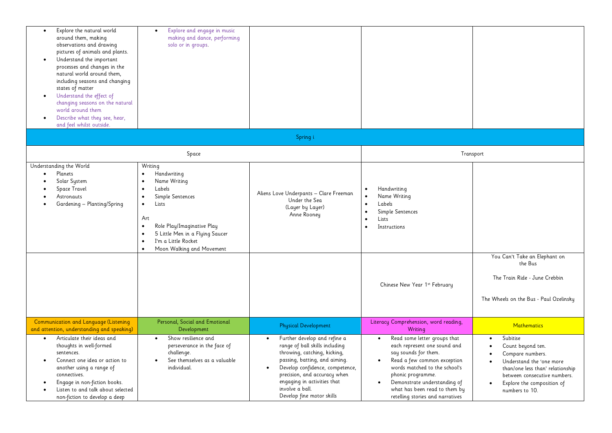| $\bullet$<br>$\bullet$ | Explore the natural world<br>around them, making<br>observations and drawing<br>pictures of animals and plants.<br>Understand the important<br>processes and changes in the<br>natural world around them,<br>including seasons and changing<br>states of matter<br>Understand the effect of<br>changing seasons on the natural<br>world around them<br>Describe what they see, hear,<br>and feel whilst outside. | Explore and engage in music<br>$\bullet$<br>making and dance, performing<br>solo or in groups.                                                                                                                                                                                                                                 |                                                                                                                                                                                                                                                                                                             |                                                                                                                                                                                                                                                                                                          |                                                                                                                                                                                                                             |
|------------------------|------------------------------------------------------------------------------------------------------------------------------------------------------------------------------------------------------------------------------------------------------------------------------------------------------------------------------------------------------------------------------------------------------------------|--------------------------------------------------------------------------------------------------------------------------------------------------------------------------------------------------------------------------------------------------------------------------------------------------------------------------------|-------------------------------------------------------------------------------------------------------------------------------------------------------------------------------------------------------------------------------------------------------------------------------------------------------------|----------------------------------------------------------------------------------------------------------------------------------------------------------------------------------------------------------------------------------------------------------------------------------------------------------|-----------------------------------------------------------------------------------------------------------------------------------------------------------------------------------------------------------------------------|
|                        |                                                                                                                                                                                                                                                                                                                                                                                                                  |                                                                                                                                                                                                                                                                                                                                | Spring i                                                                                                                                                                                                                                                                                                    |                                                                                                                                                                                                                                                                                                          |                                                                                                                                                                                                                             |
|                        |                                                                                                                                                                                                                                                                                                                                                                                                                  | Space                                                                                                                                                                                                                                                                                                                          |                                                                                                                                                                                                                                                                                                             | Transport                                                                                                                                                                                                                                                                                                |                                                                                                                                                                                                                             |
| $\bullet$              | Understanding the World<br>Planets<br>Solar System<br>Space Travel<br>Astronauts<br>Gardening - Planting/Spring                                                                                                                                                                                                                                                                                                  | Writing<br>Handwriting<br>$\bullet$<br>Name Writing<br>$\bullet$<br>Labels<br>$\bullet$<br>Simple Sentences<br>$\bullet$<br>Lists<br>$\bullet$<br>Art<br>Role Play/Imaginative Play<br>$\bullet$<br>5 Little Men in a Flying Saucer<br>$\bullet$<br>I'm a Little Rocket<br>$\bullet$<br>Moon Walking and Movement<br>$\bullet$ | Aliens Love Underpants - Clare Freeman<br>Under the Sea<br>(Layer by Layer)<br>Anne Rooney                                                                                                                                                                                                                  | Handwriting<br>$\bullet$<br>Name Writing<br>$\bullet$<br>Labels<br>$\bullet$<br>Simple Sentences<br>$\bullet$<br>Lists<br>$\bullet$<br>Instructions<br>$\bullet$<br>Chinese New Year 1st February                                                                                                        | You Can't Take an Elephant on<br>the Bus<br>The Train Ride - June Crebbin<br>The Wheels on the Bus - Paul Ozelinsky                                                                                                         |
|                        | Communication and Language (Listening<br>and attention, understanding and speaking)                                                                                                                                                                                                                                                                                                                              | Personal, Social and Emotional<br>Development                                                                                                                                                                                                                                                                                  | <b>Physical Development</b>                                                                                                                                                                                                                                                                                 | Literacy Comprehension, word reading,<br>Writing                                                                                                                                                                                                                                                         | <b>Mathematics</b>                                                                                                                                                                                                          |
| $\bullet$<br>$\bullet$ | Articulate their ideas and<br>thoughts in well-formed<br>sentences.<br>Connect one idea or action to<br>another using a range of<br>connectives.<br>Engage in non-fiction books.<br>Listen to and talk about selected<br>non-fiction to develop a deep                                                                                                                                                           | Show resilience and<br>$\bullet$<br>perseverance in the face of<br>challenge.<br>See themselves as a valuable<br>individual.                                                                                                                                                                                                   | Further develop and refine a<br>$\bullet$<br>range of ball skills including<br>throwing, catching, kicking,<br>passing, batting, and aiming.<br>Develop confidence, competence,<br>$\bullet$<br>precision, and accuracy when<br>engaging in activities that<br>involve a ball.<br>Develop fine motor skills | Read some letter groups that<br>$\bullet$<br>each represent one sound and<br>say sounds for them.<br>Read a few common exception<br>$\bullet$<br>words matched to the school's<br>phonic programme.<br>Demonstrate understanding of<br>what has been read to them by<br>retelling stories and narratives | Subitise<br>$\bullet$<br>Count beyond ten.<br>Compare numbers.<br>Understand the 'one more<br>than/one less than' relationship<br>between consecutive numbers.<br>Explore the composition of<br>$\bullet$<br>numbers to 10. |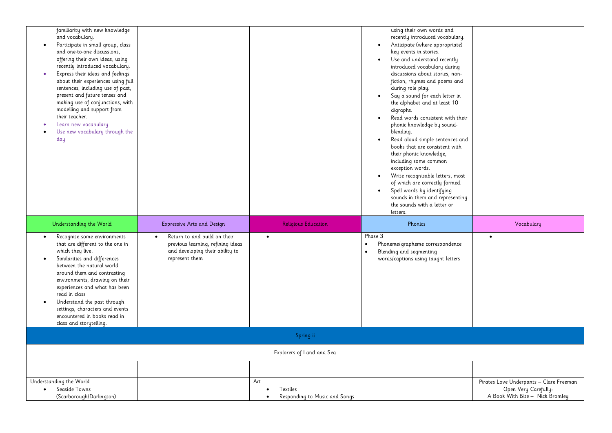| familiarity with new knowledge<br>and vocabulary.<br>Participate in small group, class<br>and one-to-one discussions,<br>offering their own ideas, using<br>recently introduced vocabulary.<br>Express their ideas and feelings<br>about their experiences using full<br>sentences, including use of past,<br>present and future tenses and<br>making use of conjunctions, with<br>modelling and support from<br>their teacher.<br>Learn new vocabulary<br>Use new vocabulary through the<br>day |                                                                                                                        |                                                               | using their own words and<br>recently introduced vocabulary.<br>Anticipate (where appropriate)<br>key events in stories.<br>Use and understand recently<br>$\bullet$<br>introduced vocabulary during<br>discussions about stories, non-<br>fiction, rhymes and poems and<br>during role play.<br>Say a sound for each letter in<br>the alphabet and at least 10<br>digraphs.<br>Read words consistent with their<br>phonic knowledge by sound-<br>blending.<br>Read aloud simple sentences and<br>$\bullet$<br>books that are consistent with<br>their phonic knowledge,<br>including some common<br>exception words.<br>Write recognisable letters, most<br>of which are correctly formed.<br>Spell words by identifying<br>sounds in them and representing<br>the sounds with a letter or<br>letters. |                                                                                                    |
|--------------------------------------------------------------------------------------------------------------------------------------------------------------------------------------------------------------------------------------------------------------------------------------------------------------------------------------------------------------------------------------------------------------------------------------------------------------------------------------------------|------------------------------------------------------------------------------------------------------------------------|---------------------------------------------------------------|---------------------------------------------------------------------------------------------------------------------------------------------------------------------------------------------------------------------------------------------------------------------------------------------------------------------------------------------------------------------------------------------------------------------------------------------------------------------------------------------------------------------------------------------------------------------------------------------------------------------------------------------------------------------------------------------------------------------------------------------------------------------------------------------------------|----------------------------------------------------------------------------------------------------|
| Understanding the World                                                                                                                                                                                                                                                                                                                                                                                                                                                                          | <b>Expressive Arts and Design</b>                                                                                      | <b>Religious Education</b>                                    | Phonics                                                                                                                                                                                                                                                                                                                                                                                                                                                                                                                                                                                                                                                                                                                                                                                                 | Vocabulary                                                                                         |
| Recognise some environments<br>$\bullet$<br>that are different to the one in<br>which they live.<br>Similarities and differences<br>$\bullet$<br>between the natural world<br>around them and contrasting<br>environments, drawing on their<br>experiences and what has been<br>read in class<br>Understand the past through<br>settings, characters and events<br>encountered in books read in<br>class and storytelling.                                                                       | Return to and build on their<br>previous learning, refining ideas<br>and developing their ability to<br>represent them | $\bullet$                                                     | Phase 3<br>Phoneme/grapheme correspondence<br>$\bullet$<br>Blending and segmenting<br>words/captions using taught letters                                                                                                                                                                                                                                                                                                                                                                                                                                                                                                                                                                                                                                                                               |                                                                                                    |
|                                                                                                                                                                                                                                                                                                                                                                                                                                                                                                  |                                                                                                                        | Spring ii                                                     |                                                                                                                                                                                                                                                                                                                                                                                                                                                                                                                                                                                                                                                                                                                                                                                                         |                                                                                                    |
|                                                                                                                                                                                                                                                                                                                                                                                                                                                                                                  |                                                                                                                        | Explorers of Land and Sea                                     |                                                                                                                                                                                                                                                                                                                                                                                                                                                                                                                                                                                                                                                                                                                                                                                                         |                                                                                                    |
|                                                                                                                                                                                                                                                                                                                                                                                                                                                                                                  |                                                                                                                        |                                                               |                                                                                                                                                                                                                                                                                                                                                                                                                                                                                                                                                                                                                                                                                                                                                                                                         |                                                                                                    |
| Understanding the World<br>Seaside Towns<br>$\bullet$<br>(Scarborough/Darlington)                                                                                                                                                                                                                                                                                                                                                                                                                |                                                                                                                        | Art<br>Textiles<br>Responding to Music and Songs<br>$\bullet$ |                                                                                                                                                                                                                                                                                                                                                                                                                                                                                                                                                                                                                                                                                                                                                                                                         | Pirates Love Underpants - Clare Freeman<br>Open Very Carefully:<br>A Book With Bite - Nick Bromley |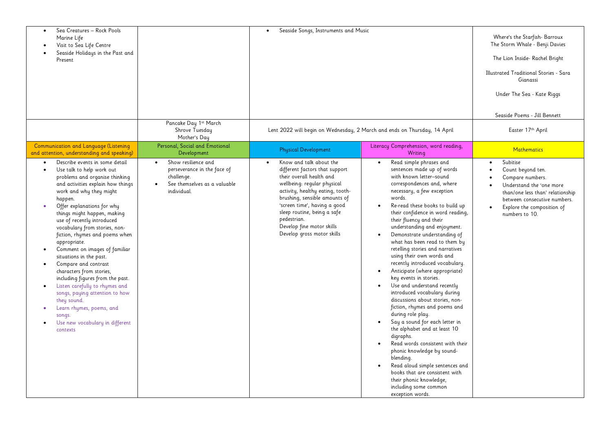| Sea Creatures - Rock Pools<br>$\bullet$<br>Marine Life<br>Visit to Sea Life Centre<br>Seaside Holidays in the Past and<br>Present                                                                                                                                                                                                                                                                                                                                                                                                                                                                                                                                                               | Pancake Day 1st March                                                                                                        | Seaside Songs, Instruments and Music                                                                                                                                                                                                                                                                                                            |                                                                                                                                                                                                                                                                                                                                                                                                                                                                                                                                                                                                                                                                                                                                                                                                                                                                                                                                                                                                            | Where's the Starfish-Barroux<br>The Storm Whale - Benji Davies<br>The Lion Inside- Rachel Bright<br>Illustrated Traditional Stories - Sara<br>Gianassi<br>Under The Sea - Kate Riggs<br>Seaside Poems - Jill Bennett        |
|-------------------------------------------------------------------------------------------------------------------------------------------------------------------------------------------------------------------------------------------------------------------------------------------------------------------------------------------------------------------------------------------------------------------------------------------------------------------------------------------------------------------------------------------------------------------------------------------------------------------------------------------------------------------------------------------------|------------------------------------------------------------------------------------------------------------------------------|-------------------------------------------------------------------------------------------------------------------------------------------------------------------------------------------------------------------------------------------------------------------------------------------------------------------------------------------------|------------------------------------------------------------------------------------------------------------------------------------------------------------------------------------------------------------------------------------------------------------------------------------------------------------------------------------------------------------------------------------------------------------------------------------------------------------------------------------------------------------------------------------------------------------------------------------------------------------------------------------------------------------------------------------------------------------------------------------------------------------------------------------------------------------------------------------------------------------------------------------------------------------------------------------------------------------------------------------------------------------|-----------------------------------------------------------------------------------------------------------------------------------------------------------------------------------------------------------------------------|
|                                                                                                                                                                                                                                                                                                                                                                                                                                                                                                                                                                                                                                                                                                 | Shrove Tuesday<br>Mother's Day                                                                                               | Lent 2022 will begin on Wednesday, 2 March and ends on Thursday, 14 April                                                                                                                                                                                                                                                                       |                                                                                                                                                                                                                                                                                                                                                                                                                                                                                                                                                                                                                                                                                                                                                                                                                                                                                                                                                                                                            | Easter 17th April                                                                                                                                                                                                           |
| Communication and Language (Listening<br>and attention, understanding and speaking)                                                                                                                                                                                                                                                                                                                                                                                                                                                                                                                                                                                                             | Personal, Social and Emotional<br>Development                                                                                | <b>Physical Development</b>                                                                                                                                                                                                                                                                                                                     | Literacy Comprehension, word reading,<br>Writing                                                                                                                                                                                                                                                                                                                                                                                                                                                                                                                                                                                                                                                                                                                                                                                                                                                                                                                                                           | <b>Mathematics</b>                                                                                                                                                                                                          |
| Describe events in some detail<br>Use talk to help work out<br>$\bullet$<br>problems and organise thinking<br>and activities explain how things<br>work and why they might<br>happen.<br>Offer explanations for why<br>things might happen, making<br>use of recently introduced<br>vocabulary from stories, non-<br>fiction, rhymes and poems when<br>appropriate.<br>Comment on images of familiar<br>situations in the past.<br>Compare and contrast<br>characters from stories,<br>including figures from the past.<br>Listen carefully to rhymes and<br>songs, paying attention to how<br>they sound.<br>Learn rhymes, poems, and<br>songs.<br>Use new vocabulary in different<br>contexts | Show resilience and<br>$\bullet$<br>perseverance in the face of<br>challenge.<br>See themselves as a valuable<br>individual. | Know and talk about the<br>$\bullet$<br>different factors that support<br>their overall health and<br>wellbeing: regular physical<br>activity, healthy eating, tooth-<br>brushing, sensible amounts of<br>'screen time', having a good<br>sleep routine, being a safe<br>pedestrian.<br>Develop fine motor skills<br>Develop gross motor skills | Read simple phrases and<br>$\bullet$<br>sentences made up of words<br>with known letter-sound<br>correspondences and, where<br>necessary, a few exception<br>words.<br>Re-read these books to build up<br>their confidence in word reading,<br>their fluency and their<br>understanding and enjoyment.<br>Demonstrate understanding of<br>what has been read to them by<br>retelling stories and narratives<br>using their own words and<br>recently introduced vocabulary.<br>Anticipate (where appropriate)<br>key events in stories.<br>Use and understand recently<br>introduced vocabulary during<br>discussions about stories, non-<br>fiction, rhymes and poems and<br>during role play.<br>Say a sound for each letter in<br>the alphabet and at least 10<br>digraphs.<br>Read words consistent with their<br>phonic knowledge by sound-<br>blending.<br>Read aloud simple sentences and<br>books that are consistent with<br>their phonic knowledge,<br>including some common<br>exception words. | Subitise<br>$\bullet$<br>Count beyond ten.<br>Compare numbers.<br>Understand the 'one more<br>than/one less than' relationship<br>between consecutive numbers.<br>Explore the composition of<br>$\bullet$<br>numbers to 10. |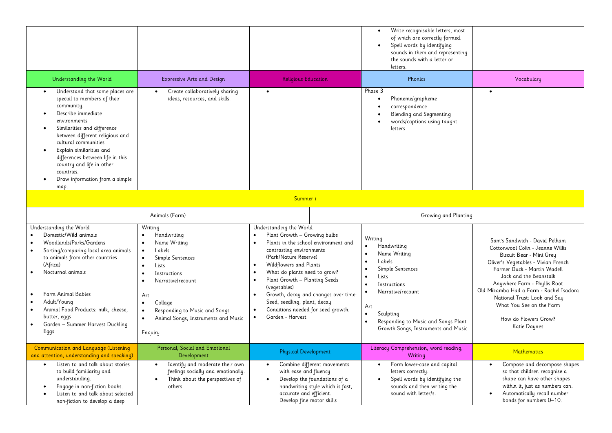|                                                                                                                                                                                                                                                                                                                                                                   |                                                                                                                                                                                                                                      |                                                                                                                                                                                                                                                                                                                                                                                                                                                                                 | Write recognisable letters, most<br>of which are correctly formed.<br>Spell words by identifying<br>sounds in them and representing<br>the sounds with a letter or<br>letters.                                                                              |                                                                                                                                                                                                                                                                                                                                                                              |  |  |
|-------------------------------------------------------------------------------------------------------------------------------------------------------------------------------------------------------------------------------------------------------------------------------------------------------------------------------------------------------------------|--------------------------------------------------------------------------------------------------------------------------------------------------------------------------------------------------------------------------------------|---------------------------------------------------------------------------------------------------------------------------------------------------------------------------------------------------------------------------------------------------------------------------------------------------------------------------------------------------------------------------------------------------------------------------------------------------------------------------------|-------------------------------------------------------------------------------------------------------------------------------------------------------------------------------------------------------------------------------------------------------------|------------------------------------------------------------------------------------------------------------------------------------------------------------------------------------------------------------------------------------------------------------------------------------------------------------------------------------------------------------------------------|--|--|
| Understanding the World                                                                                                                                                                                                                                                                                                                                           | <b>Expressive Arts and Design</b>                                                                                                                                                                                                    | <b>Religious Education</b>                                                                                                                                                                                                                                                                                                                                                                                                                                                      | Phonics                                                                                                                                                                                                                                                     | Vocabulary                                                                                                                                                                                                                                                                                                                                                                   |  |  |
| Understand that some places are<br>special to members of their<br>community.<br>Describe immediate<br>environments<br>Similarities and difference<br>between different religious and<br>cultural communities<br>Explain similarities and<br>differences between life in this<br>country and life in other<br>countries.<br>Draw information from a simple<br>map. | Create collaboratively sharing<br>ideas, resources, and skills.                                                                                                                                                                      | $\bullet$                                                                                                                                                                                                                                                                                                                                                                                                                                                                       | Phase 3<br>Phoneme/grapheme<br>correspondence<br>Blending and Segmenting<br>words/captions using taught<br>letters                                                                                                                                          | $\bullet$                                                                                                                                                                                                                                                                                                                                                                    |  |  |
| Summer i                                                                                                                                                                                                                                                                                                                                                          |                                                                                                                                                                                                                                      |                                                                                                                                                                                                                                                                                                                                                                                                                                                                                 |                                                                                                                                                                                                                                                             |                                                                                                                                                                                                                                                                                                                                                                              |  |  |
|                                                                                                                                                                                                                                                                                                                                                                   | Animals (Farm)                                                                                                                                                                                                                       |                                                                                                                                                                                                                                                                                                                                                                                                                                                                                 | Growing and Planting                                                                                                                                                                                                                                        |                                                                                                                                                                                                                                                                                                                                                                              |  |  |
| Understanding the World<br>Domestic/Wild animals<br>Woodlands/Parks/Gardens<br>Sorting/comparing local area animals<br>to animals from other countries<br>(Africa)<br>Nocturnal animals<br>Farm Animal Babies<br>Adult/Young<br>Animal Food Products: milk, cheese,<br>butter, eggs<br>Garden - Summer Harvest Duckling<br>Eggs                                   | Writing<br>Handwriting<br>Name Writing<br>Labels<br>Simple Sentences<br>Lists<br>Instructions<br>Narrative/recount<br>Art<br>Collage<br>$\bullet$<br>Responding to Music and Songs<br>Animal Songs, Instruments and Music<br>Enquiry | Understanding the World<br>Plant Growth - Growing bulbs<br>Plants in the school environment and<br>contrasting environments<br>(Park/Nature Reserve)<br>Wildflowers and Plants<br>$\bullet$<br>What do plants need to grow?<br>$\bullet$<br>Plant Growth - Planting Seeds<br>$\bullet$<br>(vegetables)<br>Growth, decay and changes over time:<br>$\bullet$<br>Seed, seedling, plant, decay<br>Conditions needed for seed growth.<br>$\bullet$<br>Garden - Harvest<br>$\bullet$ | Writing<br>Handwriting<br>Name Writing<br>Labels<br>$\bullet$<br>Simple Sentences<br>Lists<br>Instructions<br>$\bullet$<br>Narrative/recount<br>Art<br>$\bullet$<br>Sculpting<br>Responding to Music and Songs Plant<br>Growth Songs, Instruments and Music | Sam's Sandwich - David Pelham<br>Cottonwool Colin - Jeanne Willis<br>Biscuit Bear - Mini Grey<br>Oliver's Vegetables - Vivian French<br>Farmer Duck - Martin Wadell<br>Jack and the Beanstalk<br>Anywhere Farm - Phyllis Root<br>Old Mikamba Had a Farm - Rachel Isadora<br>National Trust: Look and Say<br>What You See on the Farm<br>How do Flowers Grow?<br>Katie Daynes |  |  |
| Communication and Language (Listening<br>and attention, understanding and speaking)                                                                                                                                                                                                                                                                               | Personal, Social and Emotional<br>Development                                                                                                                                                                                        | <b>Physical Development</b>                                                                                                                                                                                                                                                                                                                                                                                                                                                     | Literacy Comprehension, word reading,<br>Writing                                                                                                                                                                                                            | <b>Mathematics</b>                                                                                                                                                                                                                                                                                                                                                           |  |  |
| Listen to and talk about stories<br>to build familiarity and<br>understanding.<br>Engage in non-fiction books.<br>Listen to and talk about selected<br>non-fiction to develop a deep                                                                                                                                                                              | Identify and moderate their own<br>$\bullet$<br>feelings socially and emotionally.<br>Think about the perspectives of<br>others.                                                                                                     | Combine different movements<br>$\bullet$<br>with ease and fluency<br>Develop the foundations of a<br>$\bullet$<br>handwriting style which is fast,<br>accurate and efficient.<br>Develop fine motor skills                                                                                                                                                                                                                                                                      | Form lower-case and capital<br>$\bullet$<br>letters correctly.<br>Spell words by identifying the<br>sounds and then writing the<br>sound with letter/s.                                                                                                     | Compose and decompose shapes<br>so that children recognise a<br>shape can have other shapes<br>within it, just as numbers can.<br>Automatically recall number<br>bonds for numbers 0-10.                                                                                                                                                                                     |  |  |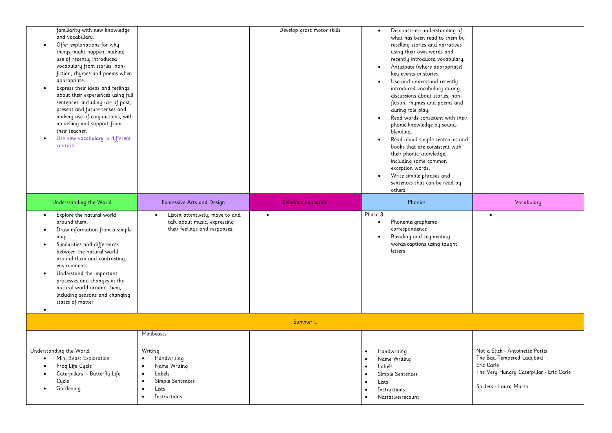| familiarity with new knowledge<br>and vocabulary.<br>Offer explanations for why<br>things might happen, making<br>use of recently introduced<br>vocabulary from stories, non-<br>fiction, rhymes and poems when<br>appropriate.<br>Express their ideas and feelings<br>about their experiences using full<br>sentences, including use of past,<br>present and future tenses and<br>making use of conjunctions, with<br>modelling and support from<br>their teacher.<br>Use new vocabulary in different<br>contexts |                                                                                                                                                                | Develop gross motor skills | Demonstrate understanding of<br>what has been read to them by<br>retelling stories and narratives<br>using their own words and<br>recently introduced vocabulary.<br>Anticipate (where appropriate)<br>key events in stories.<br>Use and understand recently<br>$\bullet$<br>introduced vocabulary during<br>discussions about stories, non-<br>fiction, rhymes and poems and<br>during role play.<br>Read words consistent with their<br>phonic knowledge by sound-<br>blending.<br>Read aloud simple sentences and<br>$\bullet$<br>books that are consistent with<br>their phonic knowledge,<br>including some common<br>exception words.<br>Write simple phrases and<br>sentences that can be read by |                                                                                                                                                 |  |  |  |
|--------------------------------------------------------------------------------------------------------------------------------------------------------------------------------------------------------------------------------------------------------------------------------------------------------------------------------------------------------------------------------------------------------------------------------------------------------------------------------------------------------------------|----------------------------------------------------------------------------------------------------------------------------------------------------------------|----------------------------|----------------------------------------------------------------------------------------------------------------------------------------------------------------------------------------------------------------------------------------------------------------------------------------------------------------------------------------------------------------------------------------------------------------------------------------------------------------------------------------------------------------------------------------------------------------------------------------------------------------------------------------------------------------------------------------------------------|-------------------------------------------------------------------------------------------------------------------------------------------------|--|--|--|
| Understanding the World                                                                                                                                                                                                                                                                                                                                                                                                                                                                                            | <b>Expressive Arts and Design</b>                                                                                                                              | <b>Religious Education</b> | others.<br>Phonics                                                                                                                                                                                                                                                                                                                                                                                                                                                                                                                                                                                                                                                                                       | Vocabulary                                                                                                                                      |  |  |  |
| Explore the natural world<br>around them.<br>Draw information from a simple<br>map.<br>Similarities and differences<br>between the natural world<br>around them and contrasting<br>environments<br>Understand the important<br>$\bullet$<br>processes and changes in the<br>natural world around them,<br>including seasons and changing<br>states of matter                                                                                                                                                       | Listen attentively, move to and<br>talk about music, expressing<br>their feelings and responses.                                                               | $\bullet$                  | Phase 3<br>Phoneme/grapheme<br>$\bullet$<br>correspondence<br>Blending and segmenting<br>words/captions using taught<br>letters                                                                                                                                                                                                                                                                                                                                                                                                                                                                                                                                                                          | $\bullet$                                                                                                                                       |  |  |  |
|                                                                                                                                                                                                                                                                                                                                                                                                                                                                                                                    | Summer ii                                                                                                                                                      |                            |                                                                                                                                                                                                                                                                                                                                                                                                                                                                                                                                                                                                                                                                                                          |                                                                                                                                                 |  |  |  |
|                                                                                                                                                                                                                                                                                                                                                                                                                                                                                                                    | Minibeasts                                                                                                                                                     |                            |                                                                                                                                                                                                                                                                                                                                                                                                                                                                                                                                                                                                                                                                                                          |                                                                                                                                                 |  |  |  |
| Understanding the World<br>Mini Beast Exploration<br>$\bullet$<br>Frog Life Cycle<br>Caterpillars - Butterfly Life<br>Cycle<br>Gardening                                                                                                                                                                                                                                                                                                                                                                           | Writing<br>Handwriting<br>$\bullet$<br>Name Writing<br>$\bullet$<br>Labels<br>$\bullet$<br>Simple Sentences<br>$\bullet$<br>Lists<br>Instructions<br>$\bullet$ |                            | Handwriting<br>Name Writing<br>$\bullet$<br>Labels<br>$\bullet$<br>Simple Sentences<br>$\bullet$<br>Lists<br>$\bullet$<br>Instructions<br>$\bullet$<br>Narrative/recount                                                                                                                                                                                                                                                                                                                                                                                                                                                                                                                                 | Not a Stick - Antoinette Portis<br>The Bad-Tempered Ladybird<br>Eric Carle<br>The Very Hungry Caterpillar - Eric Carle<br>Spiders - Laura Marsh |  |  |  |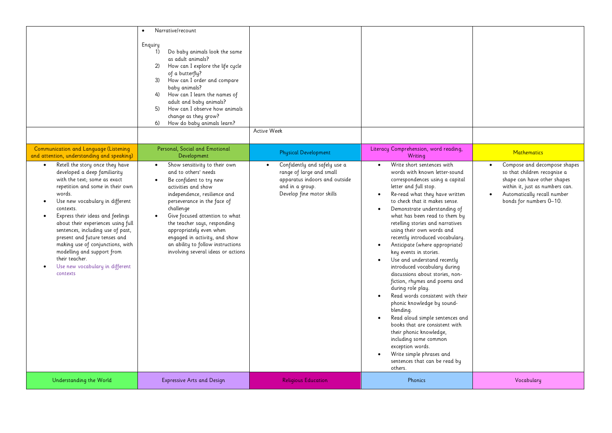|                                                                                                                                                                                                                                                                                                                                                                                                                                                                                                                                                                                                   | Narrative/recount<br>Enquiry<br>Do baby animals look the same<br>1)<br>as adult animals?<br>How can I explore the life cycle<br>(2)<br>of a butterfly?<br>How can I order and compare<br>3)<br>baby animals?<br>How can I learn the names of<br>4)<br>adult and baby animals?<br>How can I observe how animals<br>5)<br>change as they grow?<br>How do baby animals learn?<br>6)                                                                                                     | Active Week                                                                                                                                                              |                                                                                                                                                                                                                                                                                                                                                                                                                                                                                                                                                                                                                                                                                                                                                                                                                                                                                                                                                                         |                                                                                                                                                                                                                             |
|---------------------------------------------------------------------------------------------------------------------------------------------------------------------------------------------------------------------------------------------------------------------------------------------------------------------------------------------------------------------------------------------------------------------------------------------------------------------------------------------------------------------------------------------------------------------------------------------------|--------------------------------------------------------------------------------------------------------------------------------------------------------------------------------------------------------------------------------------------------------------------------------------------------------------------------------------------------------------------------------------------------------------------------------------------------------------------------------------|--------------------------------------------------------------------------------------------------------------------------------------------------------------------------|-------------------------------------------------------------------------------------------------------------------------------------------------------------------------------------------------------------------------------------------------------------------------------------------------------------------------------------------------------------------------------------------------------------------------------------------------------------------------------------------------------------------------------------------------------------------------------------------------------------------------------------------------------------------------------------------------------------------------------------------------------------------------------------------------------------------------------------------------------------------------------------------------------------------------------------------------------------------------|-----------------------------------------------------------------------------------------------------------------------------------------------------------------------------------------------------------------------------|
| Communication and Language (Listening<br>and attention, understanding and speaking)<br>Retell the story once they have<br>developed a deep familiarity<br>with the text; some as exact<br>repetition and some in their own<br>words.<br>Use new vocabulary in different<br>$\bullet$<br>contexts.<br>Express their ideas and feelings<br>$\bullet$<br>about their experiences using full<br>sentences, including use of past,<br>present and future tenses and<br>making use of conjunctions, with<br>modelling and support from<br>their teacher.<br>Use new vocabulary in different<br>contexts | Personal, Social and Emotional<br>Development<br>Show sensitivity to their own<br>$\bullet$<br>and to others' needs<br>Be confident to try new<br>$\bullet$<br>activities and show<br>independence, resilience and<br>perseverance in the face of<br>challenge<br>Give focused attention to what<br>$\bullet$<br>the teacher says, responding<br>appropriately even when<br>engaged in activity, and show<br>an ability to follow instructions<br>involving several ideas or actions | <b>Physical Development</b><br>Confidently and safely use a<br>range of large and small<br>apparatus indoors and outside<br>and in a group.<br>Develop fine motor skills | Literacy Comprehension, word reading,<br>Writing<br>Write short sentences with<br>$\bullet$<br>words with known letter-sound<br>correspondences using a capital<br>letter and full stop.<br>Re-read what they have written<br>$\bullet$<br>to check that it makes sense.<br>Demonstrate understanding of<br>what has been read to them by<br>retelling stories and narratives<br>using their own words and<br>recently introduced vocabulary.<br>Anticipate (where appropriate)<br>$\bullet$<br>key events in stories.<br>Use and understand recently<br>introduced vocabulary during<br>discussions about stories, non-<br>fiction, rhymes and poems and<br>during role play.<br>Read words consistent with their<br>phonic knowledge by sound-<br>blending.<br>Read aloud simple sentences and<br>books that are consistent with<br>their phonic knowledge,<br>including some common<br>exception words.<br>Write simple phrases and<br>sentences that can be read by | <b>Mathematics</b><br>Compose and decompose shapes<br>so that children recognise a<br>shape can have other shapes<br>within it, just as numbers can.<br>Automatically recall number<br>$\bullet$<br>bonds for numbers 0-10. |
| Understanding the World                                                                                                                                                                                                                                                                                                                                                                                                                                                                                                                                                                           | <b>Expressive Arts and Design</b>                                                                                                                                                                                                                                                                                                                                                                                                                                                    | <b>Religious Education</b>                                                                                                                                               | others.<br>Phonics                                                                                                                                                                                                                                                                                                                                                                                                                                                                                                                                                                                                                                                                                                                                                                                                                                                                                                                                                      | Vocabulary                                                                                                                                                                                                                  |